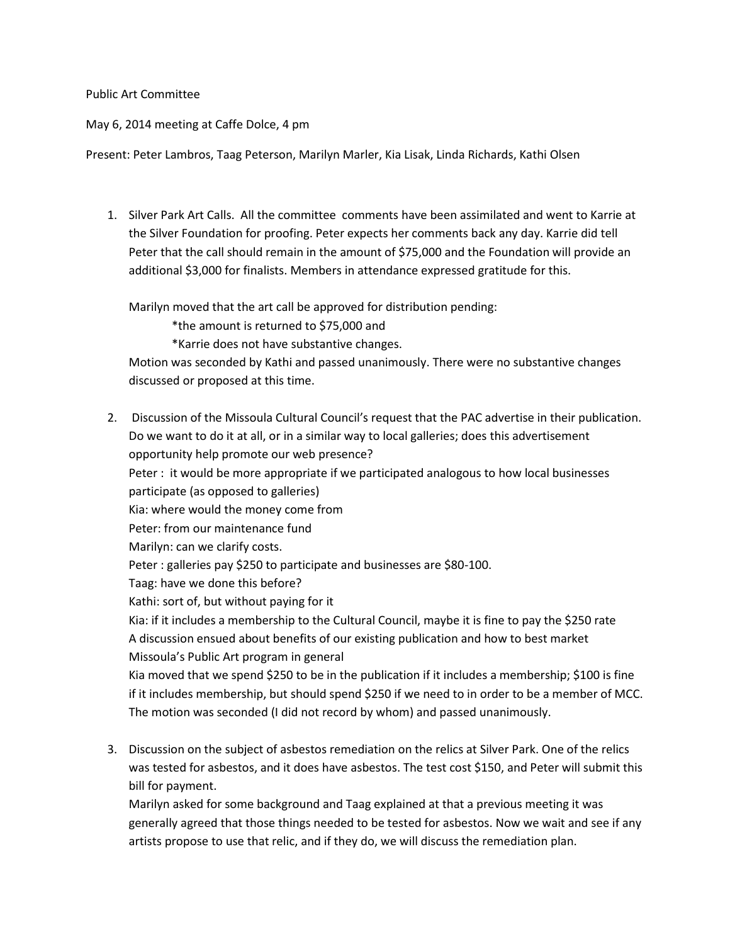## Public Art Committee

May 6, 2014 meeting at Caffe Dolce, 4 pm

Present: Peter Lambros, Taag Peterson, Marilyn Marler, Kia Lisak, Linda Richards, Kathi Olsen

1. Silver Park Art Calls. All the committee comments have been assimilated and went to Karrie at the Silver Foundation for proofing. Peter expects her comments back any day. Karrie did tell Peter that the call should remain in the amount of \$75,000 and the Foundation will provide an additional \$3,000 for finalists. Members in attendance expressed gratitude for this.

Marilyn moved that the art call be approved for distribution pending:

\*the amount is returned to \$75,000 and

\*Karrie does not have substantive changes.

Motion was seconded by Kathi and passed unanimously. There were no substantive changes discussed or proposed at this time.

- 2. Discussion of the Missoula Cultural Council's request that the PAC advertise in their publication. Do we want to do it at all, or in a similar way to local galleries; does this advertisement opportunity help promote our web presence? Peter : it would be more appropriate if we participated analogous to how local businesses participate (as opposed to galleries) Kia: where would the money come from Peter: from our maintenance fund Marilyn: can we clarify costs. Peter : galleries pay \$250 to participate and businesses are \$80-100. Taag: have we done this before? Kathi: sort of, but without paying for it Kia: if it includes a membership to the Cultural Council, maybe it is fine to pay the \$250 rate A discussion ensued about benefits of our existing publication and how to best market Missoula's Public Art program in general Kia moved that we spend \$250 to be in the publication if it includes a membership; \$100 is fine if it includes membership, but should spend \$250 if we need to in order to be a member of MCC. The motion was seconded (I did not record by whom) and passed unanimously.
- 3. Discussion on the subject of asbestos remediation on the relics at Silver Park. One of the relics was tested for asbestos, and it does have asbestos. The test cost \$150, and Peter will submit this bill for payment.

Marilyn asked for some background and Taag explained at that a previous meeting it was generally agreed that those things needed to be tested for asbestos. Now we wait and see if any artists propose to use that relic, and if they do, we will discuss the remediation plan.